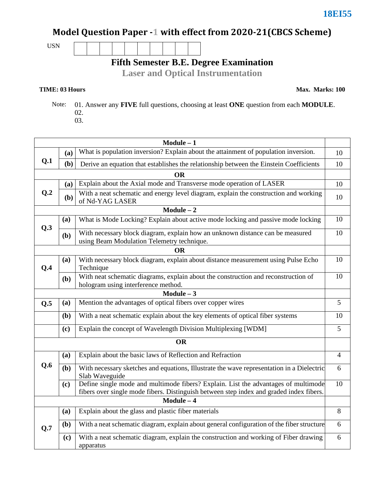# Model Question Paper -1 with effect from 2020-21(CBCS Scheme)

USN

# **Fifth Semester B.E. Degree Examination**

**Laser and Optical Instrumentation**

#### **TIME: 03 Hours**

**Max. Marks: 100**

 Note: 01. Answer any **FIVE** full questions, choosing at least **ONE** question from each **MODULE**. 02. 03.

|                |     | $Module - 1$                                                                                                                                                                  |                |  |  |
|----------------|-----|-------------------------------------------------------------------------------------------------------------------------------------------------------------------------------|----------------|--|--|
|                | (a) | What is population inversion? Explain about the attainment of population inversion.                                                                                           |                |  |  |
| Q.1            | (b) | Derive an equation that establishes the relationship between the Einstein Coefficients                                                                                        | 10             |  |  |
|                |     | OR                                                                                                                                                                            |                |  |  |
| Q <sub>0</sub> | (a) | Explain about the Axial mode and Transverse mode operation of LASER                                                                                                           | 10             |  |  |
|                | (b) | With a neat schematic and energy level diagram, explain the construction and working<br>of Nd-YAG LASER                                                                       | 10             |  |  |
|                |     | $Module - 2$                                                                                                                                                                  |                |  |  |
| Q.3            | (a) | What is Mode Locking? Explain about active mode locking and passive mode locking                                                                                              | 10             |  |  |
|                | (b) | With necessary block diagram, explain how an unknown distance can be measured<br>using Beam Modulation Telemetry technique.                                                   | 10             |  |  |
|                |     | ОR                                                                                                                                                                            |                |  |  |
|                | (a) | With necessary block diagram, explain about distance measurement using Pulse Echo                                                                                             | 10             |  |  |
| Q.4            |     | Technique<br>With neat schematic diagrams, explain about the construction and reconstruction of                                                                               | 10             |  |  |
|                | (b) | hologram using interference method.                                                                                                                                           |                |  |  |
|                |     | $Module - 3$                                                                                                                                                                  |                |  |  |
| Q.5            | (a) | Mention the advantages of optical fibers over copper wires                                                                                                                    | 5              |  |  |
|                | (b) | With a neat schematic explain about the key elements of optical fiber systems                                                                                                 | 10             |  |  |
|                | (c) | Explain the concept of Wavelength Division Multiplexing [WDM]                                                                                                                 | $\overline{5}$ |  |  |
|                |     | <b>OR</b>                                                                                                                                                                     |                |  |  |
|                | (a) | Explain about the basic laws of Reflection and Refraction                                                                                                                     | 4              |  |  |
| Q.6            | (b) | With necessary sketches and equations, Illustrate the wave representation in a Dielectric<br>Slab Waveguide                                                                   | 6              |  |  |
|                | (c) | Define single mode and multimode fibers? Explain. List the advantages of multimode<br>fibers over single mode fibers. Distinguish between step index and graded index fibers. | 10             |  |  |
| $Module - 4$   |     |                                                                                                                                                                               |                |  |  |
|                | (a) | Explain about the glass and plastic fiber materials                                                                                                                           | 8              |  |  |
| Q.7            | (b) | With a neat schematic diagram, explain about general configuration of the fiber structure                                                                                     | 6              |  |  |
|                | (c) | With a neat schematic diagram, explain the construction and working of Fiber drawing<br>apparatus                                                                             | 6              |  |  |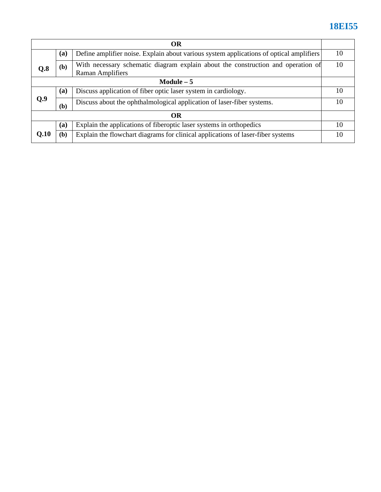# **18EI55**

| <b>OR</b>   |                                                                                                                    |                                                                                 |    |  |
|-------------|--------------------------------------------------------------------------------------------------------------------|---------------------------------------------------------------------------------|----|--|
|             | Define amplifier noise. Explain about various system applications of optical amplifiers<br>(a)                     |                                                                                 |    |  |
| Q.8         | With necessary schematic diagram explain about the construction and operation of<br>(b)<br><b>Raman Amplifiers</b> |                                                                                 | 10 |  |
| Module $-5$ |                                                                                                                    |                                                                                 |    |  |
|             | (a)                                                                                                                | Discuss application of fiber optic laser system in cardiology.                  | 10 |  |
| 0.9         | (b)                                                                                                                | Discuss about the ophthalmological application of laser-fiber systems.          | 10 |  |
| <b>OR</b>   |                                                                                                                    |                                                                                 |    |  |
|             | (a)                                                                                                                | Explain the applications of fiberoptic laser systems in orthopedics             | 10 |  |
| Q.10        | (b)                                                                                                                | Explain the flowchart diagrams for clinical applications of laser-fiber systems | 10 |  |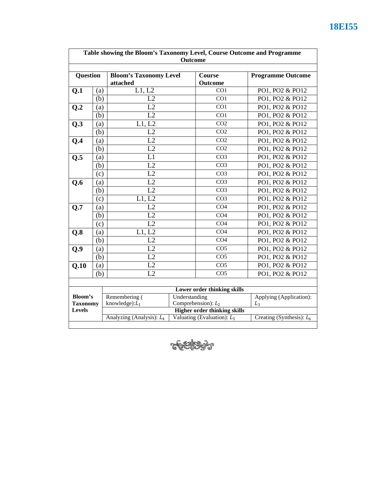| Table showing the Bloom's Taxonomy Level, Course Outcome and Programme<br>Outcome |     |                                                                                                     |       |                       |                             |
|-----------------------------------------------------------------------------------|-----|-----------------------------------------------------------------------------------------------------|-------|-----------------------|-----------------------------|
| Question                                                                          |     | <b>Bloom's Taxonomy Level</b><br>attached                                                           |       | Course<br>Outcome     | <b>Programme Outcome</b>    |
| Q.1                                                                               | (a) | $\overline{L1, L2}$                                                                                 |       | CO <sub>1</sub>       | PO1, PO2 & PO12             |
|                                                                                   | (b) | L2                                                                                                  |       | CO1                   | PO1, PO2 & PO12             |
| Q.2                                                                               | (a) | L2                                                                                                  |       | CO1                   | PO1, PO2 & PO12             |
|                                                                                   | (b) | $\overline{L2}$                                                                                     |       | CO1                   | PO1, PO2 & PO12             |
| Q.3                                                                               | (a) | L1, L2                                                                                              |       | CO <sub>2</sub>       | PO1, PO2 & PO12             |
|                                                                                   | (b) | L2                                                                                                  |       | CO <sub>2</sub>       | PO1, PO2 & PO12             |
| Q.4                                                                               | (a) | L2                                                                                                  |       | CO <sub>2</sub>       | PO1, PO2 & PO12             |
|                                                                                   | (b) | L2                                                                                                  |       | CO <sub>2</sub>       | PO1, PO2 & PO12             |
| Q.5                                                                               | (a) | L1                                                                                                  |       | CO <sub>3</sub>       | PO1, PO2 & PO12             |
|                                                                                   | (b) | L2                                                                                                  |       | CO <sub>3</sub>       | PO1, PO2 & PO12             |
|                                                                                   | (c) | L2                                                                                                  |       | CO <sub>3</sub>       | PO1, PO2 & PO12             |
| Q.6                                                                               | (a) | L2                                                                                                  |       | CO <sub>3</sub>       | PO1, PO2 & PO12             |
|                                                                                   | (b) | L2                                                                                                  |       | CO <sub>3</sub>       | PO1, PO2 & PO12             |
|                                                                                   | (c) | L1, L2                                                                                              |       | CO <sub>3</sub>       | PO1, PO2 & PO12             |
| Q.7                                                                               | (a) | L2                                                                                                  |       | CO <sub>4</sub>       | PO1, PO2 & PO12             |
|                                                                                   | (b) | L2                                                                                                  |       | CO <sub>4</sub>       | PO1, PO2 & PO12             |
|                                                                                   | (c) | L2                                                                                                  |       | CO <sub>4</sub>       | PO1, PO2 & PO12             |
| Q.8                                                                               | (a) | L1, L2                                                                                              |       | CO <sub>4</sub>       | PO1, PO2 & PO12             |
|                                                                                   | (b) | L2                                                                                                  |       | CO <sub>4</sub>       | PO1, PO2 & PO12             |
| Q.9                                                                               | (a) | L2                                                                                                  |       | CO <sub>5</sub>       | PO1, PO2 & PO12             |
|                                                                                   | (b) | L2                                                                                                  |       | CO <sub>5</sub>       | PO1, PO2 & PO12             |
| Q.10                                                                              | (a) | L2                                                                                                  |       | CO <sub>5</sub>       | PO1, PO2 & PO12             |
|                                                                                   | (b) | L2                                                                                                  |       | CO <sub>5</sub>       | PO1, PO2 & PO12             |
|                                                                                   |     |                                                                                                     |       |                       |                             |
| Lower order thinking skills                                                       |     |                                                                                                     |       |                       |                             |
| Bloom's                                                                           |     | Remembering (<br>Understanding                                                                      |       | Comprehension): $L_2$ | Applying (Application):     |
| <b>Taxonomy</b><br>Levels                                                         |     | knowledge): $L_1$                                                                                   | $L_3$ |                       |                             |
|                                                                                   |     | <b>Higher order thinking skills</b><br>Valuating (Evaluation): $L_5$<br>Analyzing (Analysis): $L_4$ |       |                       | Creating (Synthesis): $L_6$ |

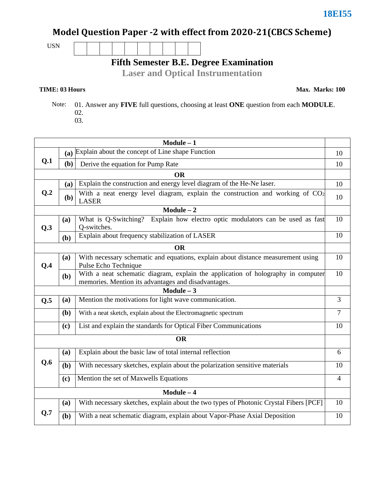## Model Question Paper -2 with effect from 2020-21(CBCS Scheme)

USN

## **Fifth Semester B.E. Degree Examination**

**Laser and Optical Instrumentation**

#### **TIME: 03 Hours**

**Max. Marks: 100**

 Note: 01. Answer any **FIVE** full questions, choosing at least **ONE** question from each **MODULE**. 02. 03.

| $Module - 1$ |                                                                       |                                                                                                                                         |                |  |  |
|--------------|-----------------------------------------------------------------------|-----------------------------------------------------------------------------------------------------------------------------------------|----------------|--|--|
|              | (a) Explain about the concept of Line shape Function                  |                                                                                                                                         |                |  |  |
| Q.1          | (b)                                                                   | Derive the equation for Pump Rate                                                                                                       | 10             |  |  |
|              |                                                                       | <b>OR</b>                                                                                                                               |                |  |  |
|              | (a)                                                                   | Explain the construction and energy level diagram of the He-Ne laser.                                                                   | 10             |  |  |
| Q.2          | ( <b>b</b> )                                                          | With a neat energy level diagram, explain the construction and working of $CO2$<br><b>LASER</b>                                         | 10             |  |  |
|              |                                                                       | $\overline{\text{Module} - 2}$                                                                                                          |                |  |  |
| Q.3          | (a)                                                                   | What is Q-Switching? Explain how electro optic modulators can be used as fast<br>Q-switches.                                            | 10             |  |  |
|              | (b)                                                                   | Explain about frequency stabilization of LASER                                                                                          | 10             |  |  |
|              |                                                                       | <b>OR</b>                                                                                                                               |                |  |  |
| Q.4          | (a)                                                                   | With necessary schematic and equations, explain about distance measurement using<br>Pulse Echo Technique                                | 10             |  |  |
|              | (b)                                                                   | With a neat schematic diagram, explain the application of holography in computer<br>memories. Mention its advantages and disadvantages. | 10             |  |  |
|              |                                                                       | $Module - 3$                                                                                                                            |                |  |  |
| Q.5          | Mention the motivations for light wave communication.<br>(a)          |                                                                                                                                         |                |  |  |
|              | With a neat sketch, explain about the Electromagnetic spectrum<br>(b) |                                                                                                                                         |                |  |  |
|              | (c)                                                                   | List and explain the standards for Optical Fiber Communications                                                                         | 10             |  |  |
| <b>OR</b>    |                                                                       |                                                                                                                                         |                |  |  |
|              | (a)                                                                   | Explain about the basic law of total internal reflection                                                                                | 6              |  |  |
| Q.6          | (b)                                                                   | With necessary sketches, explain about the polarization sensitive materials                                                             | 10             |  |  |
|              | (c)                                                                   | Mention the set of Maxwells Equations                                                                                                   | $\overline{4}$ |  |  |
| $Module - 4$ |                                                                       |                                                                                                                                         |                |  |  |
|              | (a)                                                                   | With necessary sketches, explain about the two types of Photonic Crystal Fibers [PCF]                                                   | 10             |  |  |
| Q.7          | (b)                                                                   | With a neat schematic diagram, explain about Vapor-Phase Axial Deposition                                                               | 10             |  |  |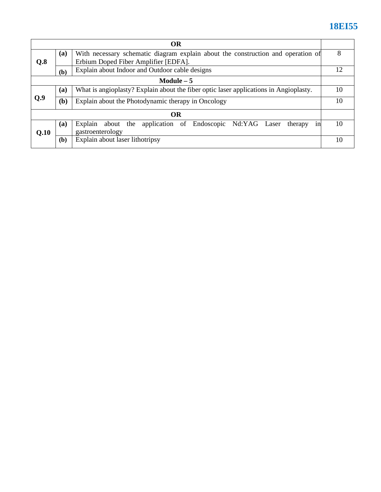# **18EI55**

| <b>OR</b>   |     |                                                                                       |    |  |  |  |
|-------------|-----|---------------------------------------------------------------------------------------|----|--|--|--|
|             | (a) | With necessary schematic diagram explain about the construction and operation of      |    |  |  |  |
| Q.8         |     | Erbium Doped Fiber Amplifier [EDFA].                                                  |    |  |  |  |
|             | (b) | Explain about Indoor and Outdoor cable designs                                        |    |  |  |  |
| Module $-5$ |     |                                                                                       |    |  |  |  |
| O.9         | (a) | What is angioplasty? Explain about the fiber optic laser applications in Angioplasty. |    |  |  |  |
|             | (b) | Explain about the Photodynamic therapy in Oncology                                    |    |  |  |  |
| <b>OR</b>   |     |                                                                                       |    |  |  |  |
|             | (a) | about the application of Endoscopic Nd:YAG Laser<br>Explain<br>therapy<br>1n          | 10 |  |  |  |
| O.10        |     | gastroenterology                                                                      |    |  |  |  |
|             | (b) | Explain about laser lithotripsy                                                       | 10 |  |  |  |